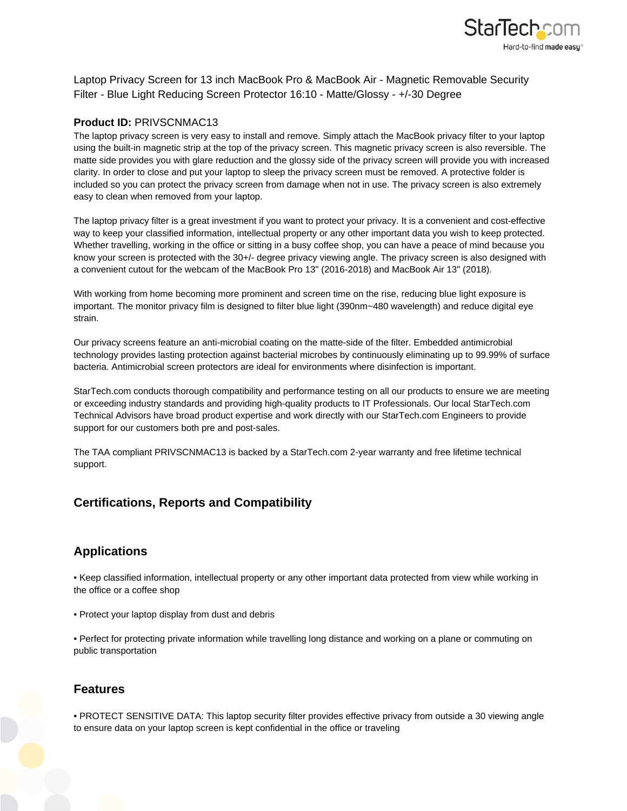

Laptop Privacy Screen for 13 inch MacBook Pro & MacBook Air - Magnetic Removable Security Filter - Blue Light Reducing Screen Protector 16:10 - Matte/Glossy - +/-30 Degree

## **Product ID:** PRIVSCNMAC13

The laptop privacy screen is very easy to install and remove. Simply attach the MacBook privacy filter to your laptop using the built-in magnetic strip at the top of the privacy screen. This magnetic privacy screen is also reversible. The matte side provides you with glare reduction and the glossy side of the privacy screen will provide you with increased clarity. In order to close and put your laptop to sleep the privacy screen must be removed. A protective folder is included so you can protect the privacy screen from damage when not in use. The privacy screen is also extremely easy to clean when removed from your laptop.

The laptop privacy filter is a great investment if you want to protect your privacy. It is a convenient and cost-effective way to keep your classified information, intellectual property or any other important data you wish to keep protected. Whether travelling, working in the office or sitting in a busy coffee shop, you can have a peace of mind because you know your screen is protected with the 30+/- degree privacy viewing angle. The privacy screen is also designed with a convenient cutout for the webcam of the MacBook Pro 13" (2016-2018) and MacBook Air 13" (2018).

With working from home becoming more prominent and screen time on the rise, reducing blue light exposure is important. The monitor privacy film is designed to filter blue light (390nm~480 wavelength) and reduce digital eye strain.

Our privacy screens feature an anti-microbial coating on the matte-side of the filter. Embedded antimicrobial technology provides lasting protection against bacterial microbes by continuously eliminating up to 99.99% of surface bacteria. Antimicrobial screen protectors are ideal for environments where disinfection is important.

StarTech.com conducts thorough compatibility and performance testing on all our products to ensure we are meeting or exceeding industry standards and providing high-quality products to IT Professionals. Our local StarTech.com Technical Advisors have broad product expertise and work directly with our StarTech.com Engineers to provide support for our customers both pre and post-sales.

The TAA compliant PRIVSCNMAC13 is backed by a StarTech.com 2-year warranty and free lifetime technical support.

## **Certifications, Reports and Compatibility**

## **Applications**

• Keep classified information, intellectual property or any other important data protected from view while working in the office or a coffee shop

• Protect your laptop display from dust and debris

• Perfect for protecting private information while travelling long distance and working on a plane or commuting on public transportation

## **Features**

• PROTECT SENSITIVE DATA: This laptop security filter provides effective privacy from outside a 30 viewing angle to ensure data on your laptop screen is kept confidential in the office or traveling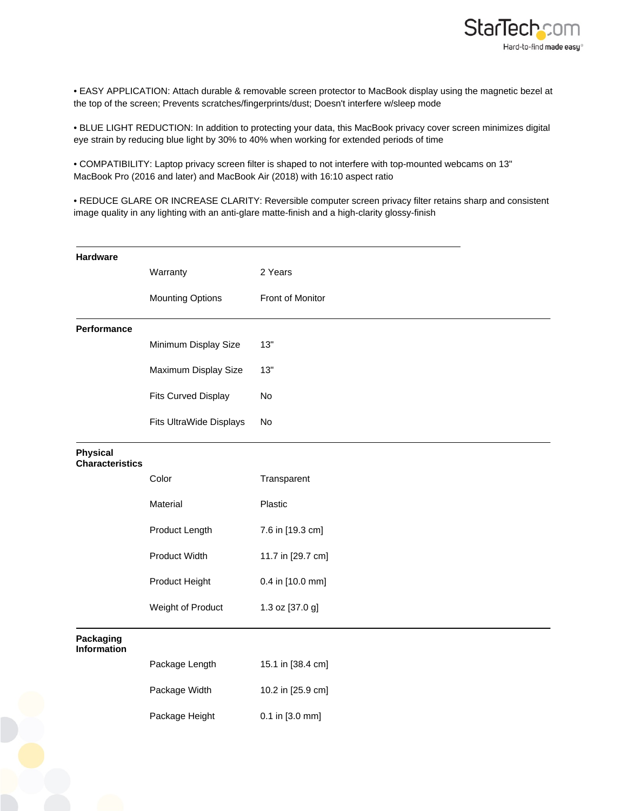

• EASY APPLICATION: Attach durable & removable screen protector to MacBook display using the magnetic bezel at the top of the screen; Prevents scratches/fingerprints/dust; Doesn't interfere w/sleep mode

• BLUE LIGHT REDUCTION: In addition to protecting your data, this MacBook privacy cover screen minimizes digital eye strain by reducing blue light by 30% to 40% when working for extended periods of time

• COMPATIBILITY: Laptop privacy screen filter is shaped to not interfere with top-mounted webcams on 13" MacBook Pro (2016 and later) and MacBook Air (2018) with 16:10 aspect ratio

• REDUCE GLARE OR INCREASE CLARITY: Reversible computer screen privacy filter retains sharp and consistent image quality in any lighting with an anti-glare matte-finish and a high-clarity glossy-finish

| Hardware                                  |                            |                   |
|-------------------------------------------|----------------------------|-------------------|
|                                           | Warranty                   | 2 Years           |
|                                           | <b>Mounting Options</b>    | Front of Monitor  |
|                                           |                            |                   |
| Performance                               |                            |                   |
|                                           | Minimum Display Size       | 13"               |
|                                           | Maximum Display Size       | 13"               |
|                                           | <b>Fits Curved Display</b> | No                |
|                                           | Fits UltraWide Displays    | No                |
| <b>Physical</b><br><b>Characteristics</b> |                            |                   |
|                                           | Color                      | Transparent       |
|                                           | Material                   | Plastic           |
|                                           | Product Length             | 7.6 in [19.3 cm]  |
|                                           | Product Width              | 11.7 in [29.7 cm] |
|                                           | Product Height             | 0.4 in [10.0 mm]  |
|                                           | Weight of Product          | 1.3 oz [37.0 g]   |
| Packaging<br><b>Information</b>           |                            |                   |
|                                           | Package Length             | 15.1 in [38.4 cm] |
|                                           | Package Width              | 10.2 in [25.9 cm] |
|                                           | Package Height             | 0.1 in [3.0 mm]   |